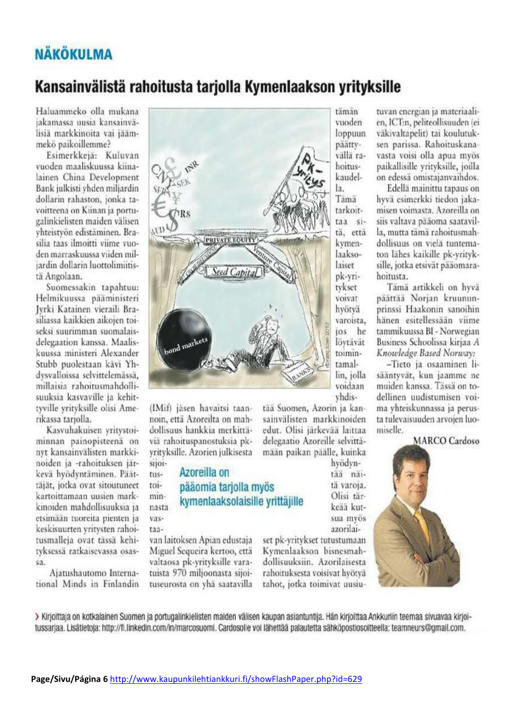# **NÄKÖKULMA**

## Kansainvälistä rahoitusta tarjolla Kymenlaakson yrityksille

Haluammeko olla mukana iakamassa uusia kansainvälisiä markkinoita vai jäämmekö paikoillemme?

Esimerkkejä: Kuluvan vuoden maaliskuussa kiinalainen China Development Bank julkisti vhden miljardin dollarin rahaston, jonka tavoitteena on Kiinan ja portugalinkielisten maiden välisen vhteistyön edistäminen. Brasilia taas ilmoitti viime vuoden marraskuussa viiden miljardin dollarin luottolimiitistä Angolaan.

Suomessakin tapahtuu: Helmikuussa pääministeri Jyrki Katainen vieraili Brasiliassa kaikkien aikojen toiseksi suurimman suomalaisdelegaation kanssa. Maaliskuussa ministeri Alexander Stubb puolestaan kävi Yhdysvalloissa selvittelemässä. millaisia rahoitusmahdollisuuksia kasvaville ja kehittyville yrityksille olisi Amerikassa tariolla.

Kasvuhakuisen vritvstoiminnan painopisteenä on nyt kansainvälisten markkinoiden ja -rahoituksen järkevä hyödyntäminen. Päättäjät, jotka ovat sitoutuneet kartoittamaan uusien markkinoiden mahdollisuuksia ja etsimään tuoreita pienten ja keskisuurten yritysten rahoitusmalleja ovat tässä kehityksessä ratkaisevassa osassa.

Aiatushautomo International Minds in Finlandin



(IMif) jäsen havaitsi taannoin, että Azoreilta on mahdollisuus hankkia merkittäviä rahoituspanostuksia pkyrityksille. Azorien julkisesta sijoi-

tus-

toi-

min-

nasta

 $\sqrt{as}$ 

taa-

## Azoreilla on pääomia tarjolla myös kymenlaaksolaisille vrittäjille

van laitoksen Apian edustaja Miguel Sequeira kertoo, että valtaosa pk-yrityksille varatuista 970 miljoonasta sijoituseurosta on yhä saatavilla

tämän vuoden loppuun päättyvällä rahoituskaudella. Tämä tarkoittaa sită, ettă kvmenlaaksolaiser pk-yritykset voivat hvötvä varoista. ios he lövtävät toimintamallin, jolla voidaan vhdis-

tää Suomen, Azorin ja kansainvälisten markkinoiden edut. Olisi järkevää laittaa delegaatio Azoreille selvittämään paikan päälle, kuinka

hvödvntää näită varoia. Olisi tärkeää kutsua mvös azorilai-

set pk-yritykset tutustumaan Kymenlaakson bisnesmahdollisuuksiin. Azorilaisesta rahoituksesta voisivat hyötvä tahot, jotka toimivat uusiu-

tuvan energian ja materiaalien, ICT:n, peliteollisuuden (ei väkivaltapelit) tai koulutuksen parissa. Rahoituskanavasta voisi olla apua myös paikallisille vrityksille, joilla on edessä omistajanvaihdos.

Edellä mainittu tapaus on hyvä esimerkki tiedon jakamisen voimasta. Azoreilla on siis valtava pääoma saatavilla, mutta tämä rahoitusmahdollisuus on vielä tuntematon lähes kaikille pk-vritvksille, jotka etsivät pääomarahoitusta.

Tämä artikkeli on hyvä päättää Norian kruununprinssi Haakonin sanoihin hänen esitellessään viime tammikuussa BI - Norwegian Business Schoolissa kirjaa A Knowledge Based Norway:

-Tieto ja osaaminen lisääntyvät, kun jaamme ne muiden kanssa. Tässä on todellinen uudistumisen voima yhteiskunnassa ja perusta tulevaisuuden arvojen luomiselle.

#### **MARCO Cardoso**



> Kirjoittaja on kotkalainen Suomen ja portugalinkielisten maiden välisen kaupan asiantuntija. Hän kirjoittaa Ankkuriin teemaa sivuavaa kirjoitussarjaa. Lisätietoja: http://fi.linkedin.com/in/marcosuomi. Cardosolle voi lähettää palautetta sähköpostiosoitteella: teamneurs@gmail.com.